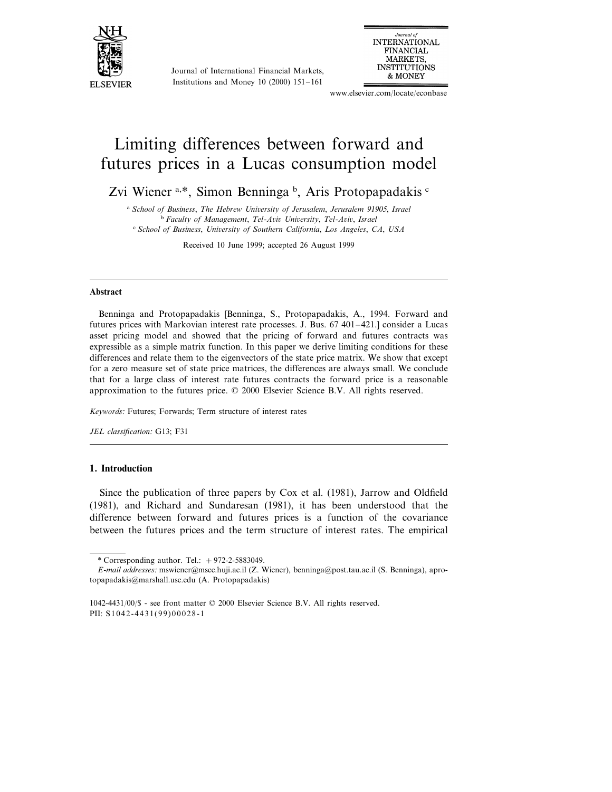

Journal of International Financial Markets, Institutions and Money 10 (2000) 151–161



www.elsevier.com/locate/econbase

# Limiting differences between forward and futures prices in a Lucas consumption model

Zvi Wiener<sup>a,\*</sup>, Simon Benninga <sup>b</sup>, Aris Protopapadakis <sup>c</sup>

<sup>a</sup> School of Business, The Hebrew University of Jerusalem, Jerusalem 91905, Israel <sup>b</sup> *Faculty of Management*, *Tel*-*A*6*i*6 *Uni*6*ersity*, *Tel*-*A*6*i*6, *Israel* <sup>c</sup> *School of Business*, *Uni*6*ersity of Southern California*, *Los Angeles*, *CA*, *USA*

Received 10 June 1999; accepted 26 August 1999

#### **Abstract**

Benninga and Protopapadakis [Benninga, S., Protopapadakis, A., 1994. Forward and futures prices with Markovian interest rate processes. J. Bus. 67 401–421.] consider a Lucas asset pricing model and showed that the pricing of forward and futures contracts was expressible as a simple matrix function. In this paper we derive limiting conditions for these differences and relate them to the eigenvectors of the state price matrix. We show that except for a zero measure set of state price matrices, the differences are always small. We conclude that for a large class of interest rate futures contracts the forward price is a reasonable approximation to the futures price. © 2000 Elsevier Science B.V. All rights reserved.

*Keywords*: Futures; Forwards; Term structure of interest rates

*JEL classification*: G13; F31

## **1. Introduction**

Since the publication of three papers by Cox et al. (1981), Jarrow and Oldfield (1981), and Richard and Sundaresan (1981), it has been understood that the difference between forward and futures prices is a function of the covariance between the futures prices and the term structure of interest rates. The empirical

<sup>\*</sup> Corresponding author. Tel.:  $+972-2-5883049$ .

*E*-*mail addresses*: mswiener@mscc.huji.ac.il (Z. Wiener), benninga@post.tau.ac.il (S. Benninga), aprotopapadakis@marshall.usc.edu (A. Protopapadakis)

<sup>1042-4431</sup>/00/\$ - see front matter © 2000 Elsevier Science B.V. All rights reserved. PII: S1042-4431(99)00028-1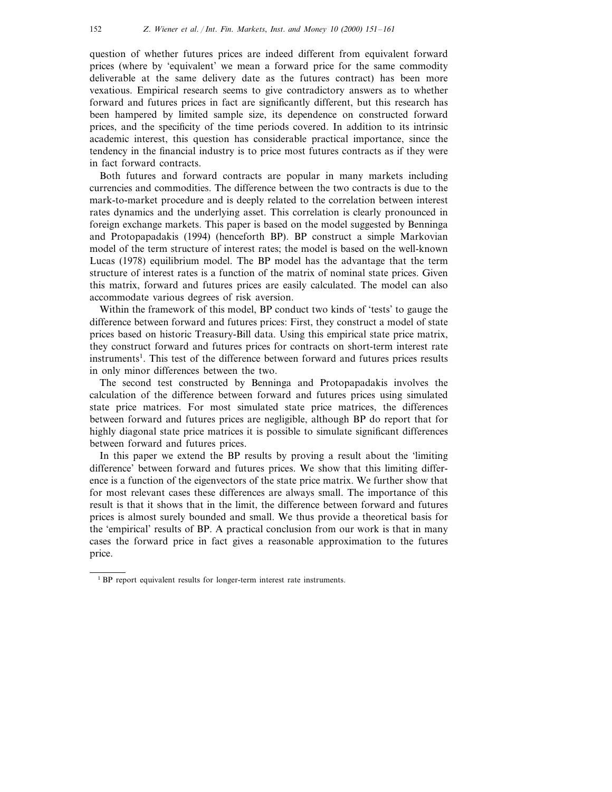question of whether futures prices are indeed different from equivalent forward prices (where by 'equivalent' we mean a forward price for the same commodity deliverable at the same delivery date as the futures contract) has been more vexatious. Empirical research seems to give contradictory answers as to whether forward and futures prices in fact are significantly different, but this research has been hampered by limited sample size, its dependence on constructed forward prices, and the specificity of the time periods covered. In addition to its intrinsic academic interest, this question has considerable practical importance, since the tendency in the financial industry is to price most futures contracts as if they were in fact forward contracts.

Both futures and forward contracts are popular in many markets including currencies and commodities. The difference between the two contracts is due to the mark-to-market procedure and is deeply related to the correlation between interest rates dynamics and the underlying asset. This correlation is clearly pronounced in foreign exchange markets. This paper is based on the model suggested by Benninga and Protopapadakis (1994) (henceforth BP). BP construct a simple Markovian model of the term structure of interest rates; the model is based on the well-known Lucas (1978) equilibrium model. The BP model has the advantage that the term structure of interest rates is a function of the matrix of nominal state prices. Given this matrix, forward and futures prices are easily calculated. The model can also accommodate various degrees of risk aversion.

Within the framework of this model, BP conduct two kinds of 'tests' to gauge the difference between forward and futures prices: First, they construct a model of state prices based on historic Treasury-Bill data. Using this empirical state price matrix, they construct forward and futures prices for contracts on short-term interest rate instruments<sup>1</sup>. This test of the difference between forward and futures prices results in only minor differences between the two.

The second test constructed by Benninga and Protopapadakis involves the calculation of the difference between forward and futures prices using simulated state price matrices. For most simulated state price matrices, the differences between forward and futures prices are negligible, although BP do report that for highly diagonal state price matrices it is possible to simulate significant differences between forward and futures prices.

In this paper we extend the BP results by proving a result about the 'limiting difference' between forward and futures prices. We show that this limiting difference is a function of the eigenvectors of the state price matrix. We further show that for most relevant cases these differences are always small. The importance of this result is that it shows that in the limit, the difference between forward and futures prices is almost surely bounded and small. We thus provide a theoretical basis for the 'empirical' results of BP. A practical conclusion from our work is that in many cases the forward price in fact gives a reasonable approximation to the futures price.

<sup>&</sup>lt;sup>1</sup> BP report equivalent results for longer-term interest rate instruments.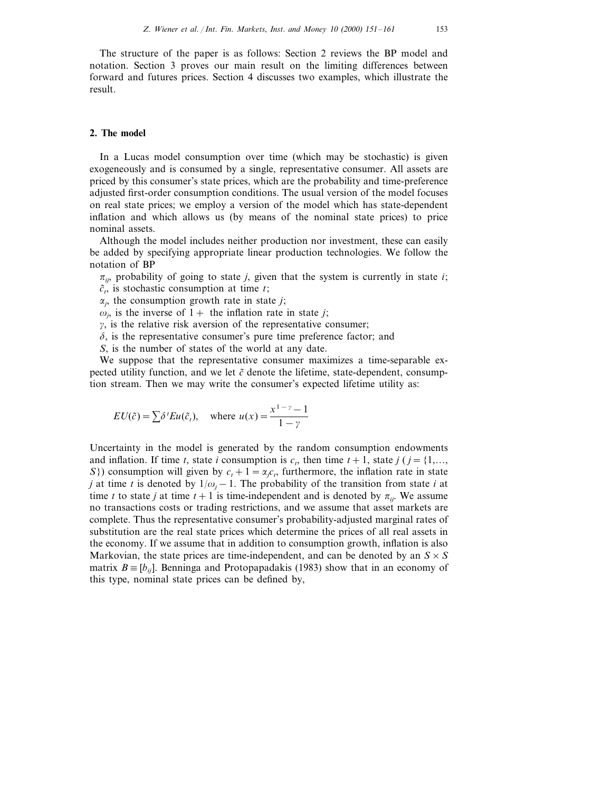The structure of the paper is as follows: Section 2 reviews the BP model and notation. Section 3 proves our main result on the limiting differences between forward and futures prices. Section 4 discusses two examples, which illustrate the result.

# **2. The model**

In a Lucas model consumption over time (which may be stochastic) is given exogeneously and is consumed by a single, representative consumer. All assets are priced by this consumer's state prices, which are the probability and time-preference adjusted first-order consumption conditions. The usual version of the model focuses on real state prices; we employ a version of the model which has state-dependent inflation and which allows us (by means of the nominal state prices) to price nominal assets.

Although the model includes neither production nor investment, these can easily be added by specifying appropriate linear production technologies. We follow the notation of BP

 $\pi_{ij}$ , probability of going to state *j*, given that the system is currently in state *i*;  $\tilde{c}_t$ , is stochastic consumption at time *t*;

 $\alpha_j$ , the consumption growth rate in state *j*;

 $\omega_j$ , is the inverse of 1 + the inflation rate in state *j*;

 $y$ , is the relative risk aversion of the representative consumer;

 $\delta$ , is the representative consumer's pure time preference factor; and

*S*, is the number of states of the world at any date.

We suppose that the representative consumer maximizes a time-separable expected utility function, and we let  $\tilde{c}$  denote the lifetime, state-dependent, consumption stream. Then we may write the consumer's expected lifetime utility as:

$$
EU(\tilde{c}) = \sum \delta^t Eu(\tilde{c}_t), \quad \text{where } u(x) = \frac{x^{1-\gamma} - 1}{1 - \gamma}
$$

Uncertainty in the model is generated by the random consumption endowments and inflation. If time *t*, state *i* consumption is  $c_t$ , then time  $t + 1$ , state  $j$  ( $j = \{1, \ldots, t\}$ *S*}) consumption will given by  $c_t + 1 = \alpha_j c_t$ , furthermore, the inflation rate in state *j* at time *t* is denoted by  $1/\omega_j - 1$ . The probability of the transition from state *i* at time *t* to state *j* at time  $t + 1$  is time-independent and is denoted by  $\pi_{ii}$ . We assume no transactions costs or trading restrictions, and we assume that asset markets are complete. Thus the representative consumer's probability-adjusted marginal rates of substitution are the real state prices which determine the prices of all real assets in the economy. If we assume that in addition to consumption growth, inflation is also Markovian, the state prices are time-independent, and can be denoted by an  $S \times S$ matrix  $B = [b_{ij}]$ . Benninga and Protopapadakis (1983) show that in an economy of this type, nominal state prices can be defined by,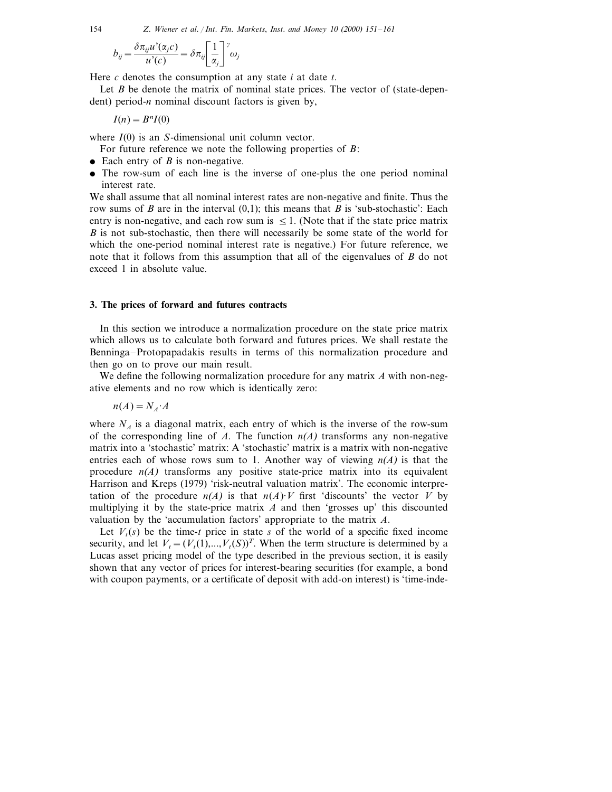154 *Z*. *Wiener et al*. / *Int*. *Fin*. *Markets*, *Inst*. *and Money* 10 (2000) 151–161

$$
b_{ij} = \frac{\delta \pi_{ij} u^i(\alpha_j c)}{u^i(c)} = \delta \pi_{ij} \left[ \frac{1}{\alpha_j} \right]^{\gamma} \omega_j
$$

Here *c* denotes the consumption at any state *i* at date *t*.

Let *B* be denote the matrix of nominal state prices. The vector of (state-dependent) period-*n* nominal discount factors is given by,

$$
I(n) = B^n I(0)
$$

where  $I(0)$  is an *S*-dimensional unit column vector.

For future reference we note the following properties of *B*:

- Each entry of *B* is non-negative.
- The row-sum of each line is the inverse of one-plus the one period nominal interest rate.

We shall assume that all nominal interest rates are non-negative and finite. Thus the row sums of *B* are in the interval (0,1); this means that *B* is 'sub-stochastic': Each entry is non-negative, and each row sum is  $\leq 1$ . (Note that if the state price matrix *B* is not sub-stochastic, then there will necessarily be some state of the world for which the one-period nominal interest rate is negative.) For future reference, we note that it follows from this assumption that all of the eigenvalues of *B* do not exceed 1 in absolute value.

#### **3. The prices of forward and futures contracts**

In this section we introduce a normalization procedure on the state price matrix which allows us to calculate both forward and futures prices. We shall restate the Benninga–Protopapadakis results in terms of this normalization procedure and then go on to prove our main result.

We define the following normalization procedure for any matrix *A* with non-negative elements and no row which is identically zero:

$$
n(A) = N_A \cdot A
$$

where  $N_A$  is a diagonal matrix, each entry of which is the inverse of the row-sum of the corresponding line of  $A$ . The function  $n(A)$  transforms any non-negative matrix into a 'stochastic' matrix: A 'stochastic' matrix is a matrix with non-negative entries each of whose rows sum to 1. Another way of viewing  $n(A)$  is that the procedure  $n(A)$  transforms any positive state-price matrix into its equivalent Harrison and Kreps (1979) 'risk-neutral valuation matrix'. The economic interpretation of the procedure  $n(A)$  is that  $n(A) \cdot V$  first 'discounts' the vector V by multiplying it by the state-price matrix *A* and then 'grosses up' this discounted valuation by the 'accumulation factors' appropriate to the matrix *A*.

Let  $V_s(s)$  be the time-*t* price in state *s* of the world of a specific fixed income security, and let  $V_t = (V_t(1),...,V_t(S))^T$ . When the term structure is determined by a Lucas asset pricing model of the type described in the previous section, it is easily shown that any vector of prices for interest-bearing securities (for example, a bond with coupon payments, or a certificate of deposit with add-on interest) is 'time-inde-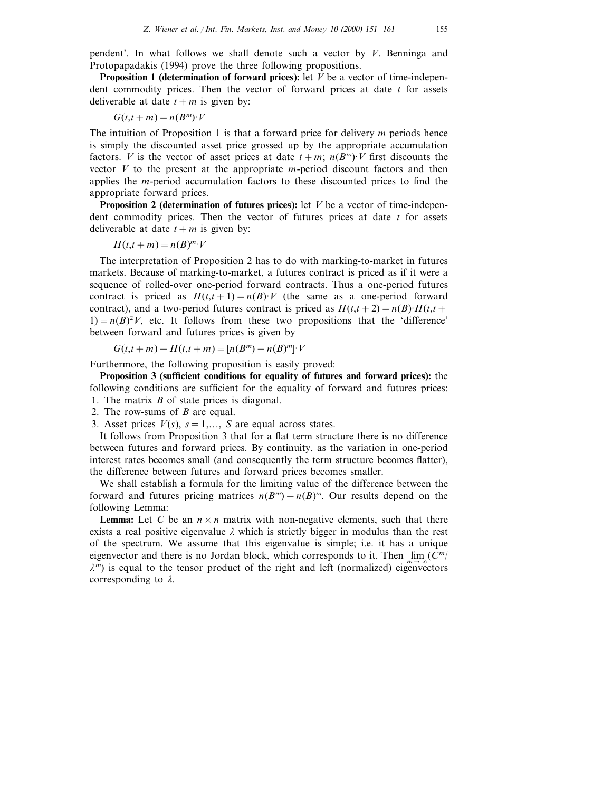pendent'. In what follows we shall denote such a vector by *V*. Benninga and Protopapadakis (1994) prove the three following propositions.

**Proposition 1 (determination of forward prices):** let *V* be a vector of time-independent commodity prices. Then the vector of forward prices at date *t* for assets deliverable at date  $t + m$  is given by:

$$
G(t,t+m) = n(B^m) \cdot V
$$

The intuition of Proposition 1 is that a forward price for delivery *m* periods hence is simply the discounted asset price grossed up by the appropriate accumulation factors. *V* is the vector of asset prices at date  $t + m$ ;  $n(B<sup>m</sup>) \cdot V$  first discounts the vector *V* to the present at the appropriate *m*-period discount factors and then applies the *m*-period accumulation factors to these discounted prices to find the appropriate forward prices.

**Proposition 2 (determination of futures prices):** let *V* be a vector of time-independent commodity prices. Then the vector of futures prices at date *t* for assets deliverable at date  $t + m$  is given by:

$$
H(t,t+m) = n(B)^{m} \cdot V
$$

The interpretation of Proposition 2 has to do with marking-to-market in futures markets. Because of marking-to-market, a futures contract is priced as if it were a sequence of rolled-over one-period forward contracts. Thus a one-period futures contract is priced as  $H(t,t+1) = n(B) \cdot V$  (the same as a one-period forward contract), and a two-period futures contract is priced as  $H(t,t+2) = n(B) \cdot H(t,t+2)$  $1$ ) =  $n(B)^2V$ , etc. It follows from these two propositions that the 'difference' between forward and futures prices is given by

$$
G(t, t + m) - H(t, t + m) = [n(Bm) - n(B)m] \cdot V
$$

Furthermore, the following proposition is easily proved:

**Proposition 3 (sufficient conditions for equality of futures and forward prices):** the following conditions are sufficient for the equality of forward and futures prices:

- 1. The matrix *B* of state prices is diagonal.
- 2. The row-sums of *B* are equal.

3. Asset prices  $V(s)$ ,  $s = 1,..., S$  are equal across states.

It follows from Proposition 3 that for a flat term structure there is no difference between futures and forward prices. By continuity, as the variation in one-period interest rates becomes small (and consequently the term structure becomes flatter), the difference between futures and forward prices becomes smaller.

We shall establish a formula for the limiting value of the difference between the forward and futures pricing matrices  $n(B^m) - n(B)^m$ . Our results depend on the following Lemma:

**Lemma:** Let C be an  $n \times n$  matrix with non-negative elements, such that there exists a real positive eigenvalue  $\lambda$  which is strictly bigger in modulus than the rest of the spectrum. We assume that this eigenvalue is simple; i.e. it has a unique eigenvector and there is no Jordan block, which corresponds to it. Then  $\lim (C^m)$  $\lambda^m$ ) is equal to the tensor product of the right and left (normalized) eigenvectors corresponding to  $\lambda$ .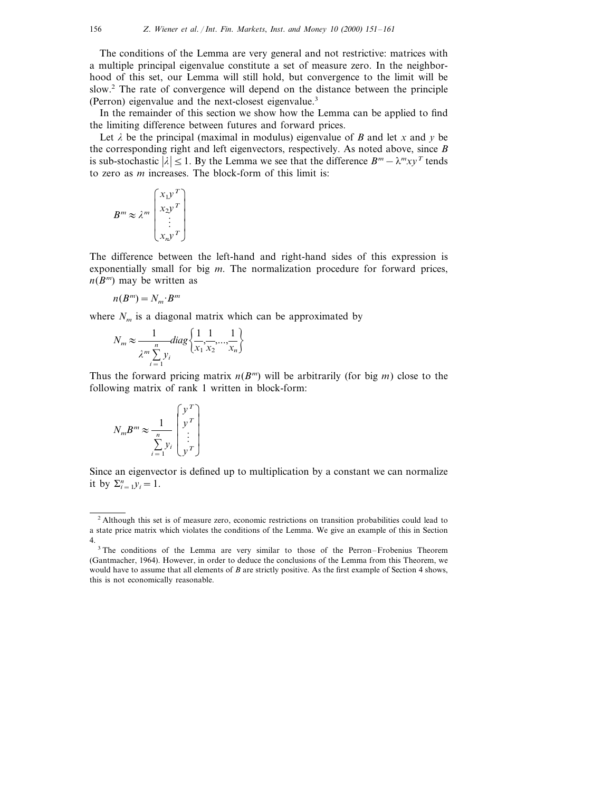The conditions of the Lemma are very general and not restrictive: matrices with a multiple principal eigenvalue constitute a set of measure zero. In the neighborhood of this set, our Lemma will still hold, but convergence to the limit will be slow.2 The rate of convergence will depend on the distance between the principle (Perron) eigenvalue and the next-closest eigenvalue.<sup>3</sup>

In the remainder of this section we show how the Lemma can be applied to find the limiting difference between futures and forward prices.

Let  $\lambda$  be the principal (maximal in modulus) eigenvalue of *B* and let *x* and *y* be the corresponding right and left eigenvectors, respectively. As noted above, since *B* is sub-stochastic  $|\lambda|$  ≤ 1. By the Lemma we see that the difference *B<sup><i>m*</sup> −  $\lambda$ <sup>*m*</sup>xy<sup>T</sup> tends to zero as *m* increases. The block-form of this limit is:

$$
B^m \approx \lambda^m \begin{bmatrix} x_1 y^T \\ x_2 y^T \\ \vdots \\ x_n y^T \end{bmatrix}
$$

The difference between the left-hand and right-hand sides of this expression is exponentially small for big *m*. The normalization procedure for forward prices,  $n(B^m)$  may be written as

$$
n(B^m) = N_m \cdot B^m
$$

where  $N_m$  is a diagonal matrix which can be approximated by

$$
N_m \approx \frac{1}{\lambda^m \sum\limits_{i=1}^n y_i} diag\left\{\frac{1}{x_1} \cdot \frac{1}{x_2} \cdot \dots \cdot \frac{1}{x_n}\right\}
$$

Thus the forward pricing matrix  $n(B^m)$  will be arbitrarily (for big *m*) close to the following matrix of rank 1 written in block-form:

$$
N_m B^m \approx \frac{1}{\sum_{i=1}^n y_i} \begin{bmatrix} y^T \\ y^T \\ \vdots \\ y^T \end{bmatrix}
$$

Since an eigenvector is defined up to multiplication by a constant we can normalize it by  $\Sigma_{i=1}^{n} y_{i}=1$ .

<sup>&</sup>lt;sup>2</sup> Although this set is of measure zero, economic restrictions on transition probabilities could lead to a state price matrix which violates the conditions of the Lemma. We give an example of this in Section 4.

<sup>&</sup>lt;sup>3</sup> The conditions of the Lemma are very similar to those of the Perron–Frobenius Theorem (Gantmacher, 1964). However, in order to deduce the conclusions of the Lemma from this Theorem, we would have to assume that all elements of *B* are strictly positive. As the first example of Section 4 shows, this is not economically reasonable.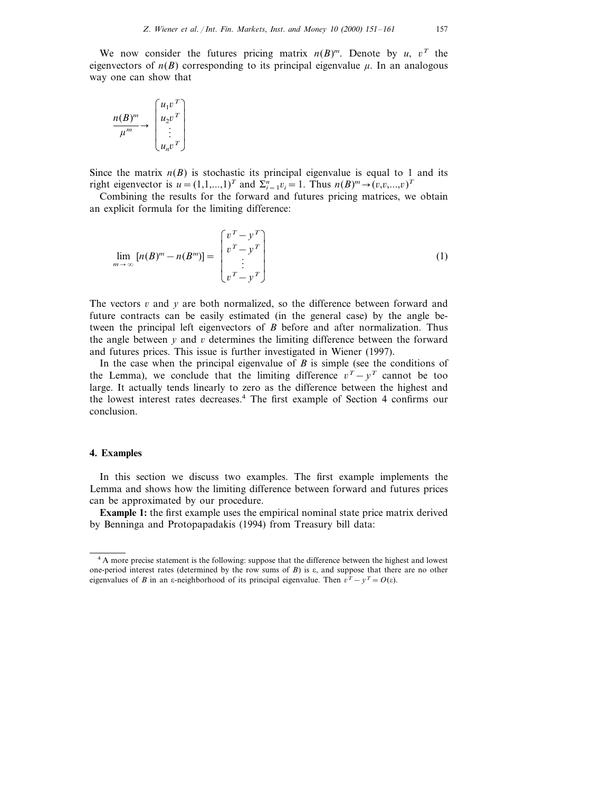We now consider the futures pricing matrix  $n(B)^m$ . Denote by *u*,  $v^T$  the eigenvectors of  $n(B)$  corresponding to its principal eigenvalue  $\mu$ . In an analogous way one can show that

$$
\frac{n(B)^m}{\mu^m} \rightarrow \begin{bmatrix} u_1 v^T \\ u_2 v^T \\ \vdots \\ u_n v^T \end{bmatrix}
$$

Since the matrix  $n(B)$  is stochastic its principal eigenvalue is equal to 1 and its right eigenvector is  $u = (1,1,...,1)^T$  and  $\Sigma_{i=1}^n v_i = 1$ . Thus  $n(B)^m \to (v,v,...,v)^T$ 

Combining the results for the forward and futures pricing matrices, we obtain an explicit formula for the limiting difference:

$$
\lim_{m \to \infty} [n(B)^m - n(B^m)] = \begin{bmatrix} v^T - y^T \\ v^T - y^T \\ \vdots \\ v^T - y^T \end{bmatrix}
$$
 (1)

The vectors  $v$  and  $\gamma$  are both normalized, so the difference between forward and future contracts can be easily estimated (in the general case) by the angle between the principal left eigenvectors of *B* before and after normalization. Thus the angle between  $y$  and  $v$  determines the limiting difference between the forward and futures prices. This issue is further investigated in Wiener (1997).

In the case when the principal eigenvalue of  $B$  is simple (see the conditions of the Lemma), we conclude that the limiting difference  $v^T - v^T$  cannot be too large. It actually tends linearly to zero as the difference between the highest and the lowest interest rates decreases.4 The first example of Section 4 confirms our conclusion.

# **4. Examples**

In this section we discuss two examples. The first example implements the Lemma and shows how the limiting difference between forward and futures prices can be approximated by our procedure.

**Example 1:** the first example uses the empirical nominal state price matrix derived by Benninga and Protopapadakis (1994) from Treasury bill data:

<sup>&</sup>lt;sup>4</sup> A more precise statement is the following: suppose that the difference between the highest and lowest one-period interest rates (determined by the row sums of  $B$ ) is  $\varepsilon$ , and suppose that there are no other eigenvalues of *B* in an  $\varepsilon$ -neighborhood of its principal eigenvalue. Then  $v^T - y^T = O(\varepsilon)$ .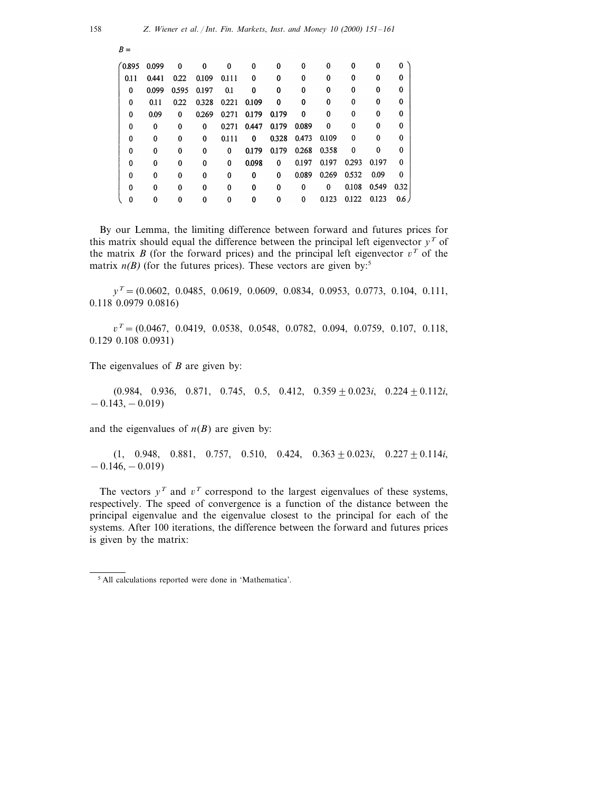| (0.895       | 0.099 | 0     | 0     | $\Omega$ | 0     | 0     | 0     | 0     | 0     | 0     | 0    |
|--------------|-------|-------|-------|----------|-------|-------|-------|-------|-------|-------|------|
| 0.11         | 0.441 | 0.22  | 0.109 | 0.111    | 0     | 0     | 0     | 0     | 0     | 0     | 0    |
| $\mathbf{0}$ | 0.099 | 0.595 | 0.197 | 0.1      | 0     | 0     | 0     | 0     | 0     | 0     | 0    |
| $\Omega$     | 0.11  | 0.22  | 0.328 | 0.221    | 0.109 | 0     | 0     | 0     | 0     | 0     | 0    |
| 0            | 0.09  | 0     | 0.269 | 0.271    | 0.179 | 0.179 | 0     | 0     | 0     | 0     | 0    |
| $\Omega$     | 0     | 0     | 0     | 0.271    | 0.447 | 0.179 | 0.089 | 0     | 0     | 0     | 0    |
| 0            | 0     | 0     | 0     | 0.111    | 0     | 0.328 | 0.473 | 0.109 | 0     | 0     | 0    |
| 0            | 0     | 0     | 0     | 0        | 0.179 | 0.179 | 0.268 | 0.358 | 0     | 0     | 0    |
| 0            | 0     | 0     | 0     | 0        | 0.098 | 0     | 0.197 | 0.197 | 0.293 | 0.197 | 0    |
| $\Omega$     | 0     | 0     | 0     | 0        | 0     | 0     | 0.089 | 0.269 | 0.532 | 0.09  | 0    |
| 0            | 0     | 0     | 0     | $\Omega$ | 0     | 0     | 0     | 0     | 0.108 | 0.549 | 0.32 |
|              | 0     | 0     | 0     |          | 0     | 0     | 0     | 0.123 | 0.122 | 0.123 | 0.6  |
|              |       |       |       |          |       |       |       |       |       |       |      |

By our Lemma, the limiting difference between forward and futures prices for this matrix should equal the difference between the principal left eigenvector  $y<sup>T</sup>$  of the matrix *B* (for the forward prices) and the principal left eigenvector  $v<sup>T</sup>$  of the matrix  $n(B)$  (for the futures prices). These vectors are given by:<sup>5</sup>

*yT*=(0.0602, 0.0485, 0.0619, 0.0609, 0.0834, 0.0953, 0.0773, 0.104, 0.111, 0.118 0.0979 0.0816)

 $v<sup>T</sup> = (0.0467, 0.0419, 0.0538, 0.0548, 0.0782, 0.094, 0.0759, 0.107, 0.118,$ 0.129 0.108 0.0931)

The eigenvalues of *B* are given by:

 $(0.984, 0.936, 0.871, 0.745, 0.5, 0.412, 0.359 + 0.023i, 0.224 + 0.112i,$  $-0.143,-0.019$ 

and the eigenvalues of  $n(B)$  are given by:

 $(1, 0.948, 0.881, 0.757, 0.510, 0.424, 0.363 \pm 0.023i, 0.227 \pm 0.114i,$  $-0.146, -0.019$ 

The vectors  $y<sup>T</sup>$  and  $v<sup>T</sup>$  correspond to the largest eigenvalues of these systems, respectively. The speed of convergence is a function of the distance between the principal eigenvalue and the eigenvalue closest to the principal for each of the systems. After 100 iterations, the difference between the forward and futures prices is given by the matrix:

 $B =$ 

<sup>5</sup> All calculations reported were done in 'Mathematica'.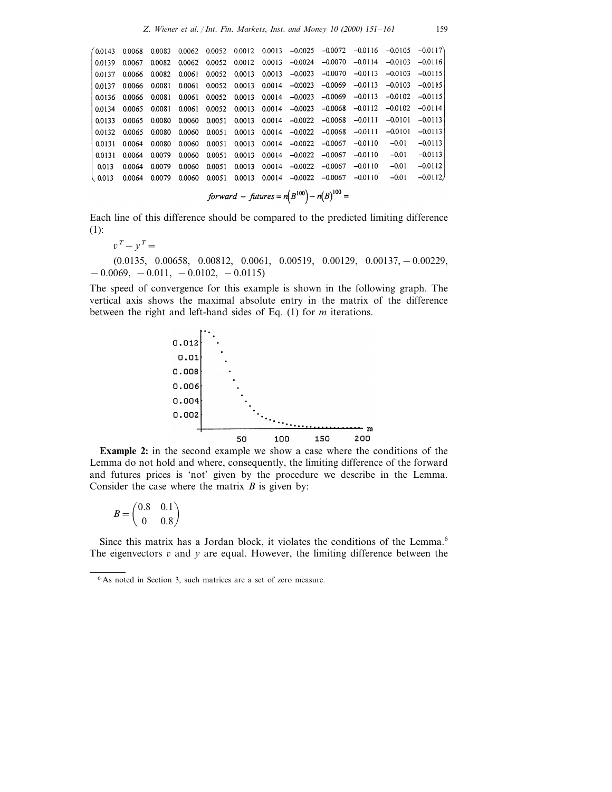| 0.0143  | 0.0068 | 0.0083 |        |        |               |                                                                   |           | $0.0062$ $0.0052$ $0.0012$ $0.0013$ $-0.0025$ $-0.0072$ $-0.0116$ $-0.0105$ $-0.0117$ |           |
|---------|--------|--------|--------|--------|---------------|-------------------------------------------------------------------|-----------|---------------------------------------------------------------------------------------|-----------|
| 0.0139  | 0.0067 | 0.0082 | 0.0062 | 0.0052 |               |                                                                   |           | $0.0012$ $0.0013$ $-0.0024$ $-0.0070$ $-0.0114$ $-0.0103$ $-0.0116$                   |           |
| 0.0137  | 0.0066 | 0.0082 | 0.0061 | 0.0052 | 0.0013        |                                                                   |           | $0.0013$ $-0.0023$ $-0.0070$ $-0.0113$ $-0.0103$ $-0.0115$                            |           |
| 0.0137  | 0.0066 | 0.0081 | 0.0061 |        | 0.0052 0.0013 |                                                                   |           | $0.0014$ $-0.0023$ $-0.0069$ $-0.0113$ $-0.0103$ $-0.0115$                            |           |
| 0.0136  | 0.0066 | 0.0081 | 0.0061 |        | 0.0052 0.0013 |                                                                   |           | $0.0014$ $-0.0023$ $-0.0069$ $-0.0113$ $-0.0102$ $-0.0115$                            |           |
| 0.0134  | 0.0065 | 0.0081 | 0.0061 |        | 0.0052 0.0013 |                                                                   |           | $0.0014$ $-0.0023$ $-0.0068$ $-0.0112$ $-0.0102$ $-0.0114$                            |           |
| 0.0133  | 0.0065 | 0.0080 | 0.0060 | 0.0051 |               |                                                                   |           | $0.0013$ $0.0014$ $-0.0022$ $-0.0068$ $-0.0111$ $-0.0101$                             | $-0.0113$ |
| 0.0132  | 0.0065 | 0.0080 | 0.0060 | 0.0051 |               | $0.0013$ $0.0014$ $-0.0022$ $-0.0068$ $-0.0111$                   |           | $-0.0101$                                                                             | $-0.0113$ |
| 0.0131  | 0.0064 | 0.0080 |        |        |               | $0.0060$ $0.0051$ $0.0013$ $0.0014$ $-0.0022$ $-0.0067$ $-0.0110$ |           | $-0.01$                                                                               | $-0.0113$ |
| 0.0131  | 0.0064 | 0.0079 | 0.0060 | 0.0051 | 0.0013        | 0.0014 - 0.0022 - 0.0067                                          | $-0.0110$ | $-0.01$                                                                               | $-0.0113$ |
| 0.013   | 0.0064 | 0.0079 | 0.0060 | 0.0051 | 0.0013        | $0.0014$ $-0.0022$ $-0.0067$ $-0.0110$                            |           | $-0.01$                                                                               | $-0.0112$ |
| (0.013) | 0.0064 | 0.0079 |        |        |               | $0.0060$ $0.0051$ $0.0013$ $0.0014$ $-0.0022$ $-0.0067$           | $-0.0110$ | $-0.01$                                                                               | $-0.0112$ |
|         |        |        |        |        |               | $(100)$ $(100)$ $(100)$                                           |           |                                                                                       |           |

forward – futures =  $n(B^{100}) - n(B)^{100}$  =

Each line of this difference should be compared to the predicted limiting difference (1):

 $v^T - v^T =$ 

(0.0135, 0.00658, 0.00812, 0.0061, 0.00519, 0.00129, 0.00137,−0.00229,  $-0.0069, -0.011, -0.0102, -0.0115)$ 

The speed of convergence for this example is shown in the following graph. The vertical axis shows the maximal absolute entry in the matrix of the difference between the right and left-hand sides of Eq. (1) for *m* iterations.



**Example 2:** in the second example we show a case where the conditions of the Lemma do not hold and where, consequently, the limiting difference of the forward and futures prices is 'not' given by the procedure we describe in the Lemma. Consider the case where the matrix *B* is given by:

$$
B = \begin{pmatrix} 0.8 & 0.1 \\ 0 & 0.8 \end{pmatrix}
$$

Since this matrix has a Jordan block, it violates the conditions of the Lemma.<sup>6</sup> The eigenvectors  $v$  and  $\gamma$  are equal. However, the limiting difference between the

<sup>6</sup> As noted in Section 3, such matrices are a set of zero measure.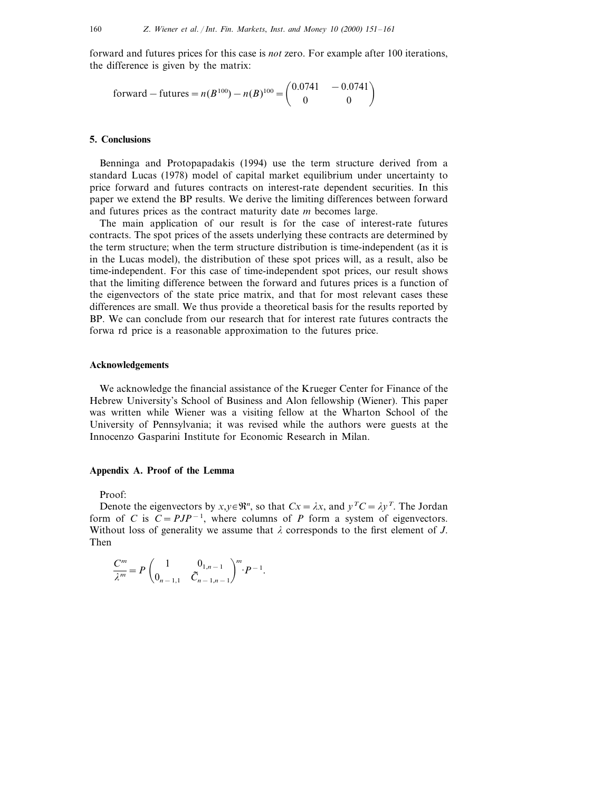forward and futures prices for this case is *not* zero. For example after 100 iterations, the difference is given by the matrix:

forward – futures = 
$$
n(B^{100}) - n(B)^{100} = \begin{pmatrix} 0.0741 & -0.0741 \\ 0 & 0 \end{pmatrix}
$$

# **5. Conclusions**

Benninga and Protopapadakis (1994) use the term structure derived from a standard Lucas (1978) model of capital market equilibrium under uncertainty to price forward and futures contracts on interest-rate dependent securities. In this paper we extend the BP results. We derive the limiting differences between forward and futures prices as the contract maturity date *m* becomes large.

The main application of our result is for the case of interest-rate futures contracts. The spot prices of the assets underlying these contracts are determined by the term structure; when the term structure distribution is time-independent (as it is in the Lucas model), the distribution of these spot prices will, as a result, also be time-independent. For this case of time-independent spot prices, our result shows that the limiting difference between the forward and futures prices is a function of the eigenvectors of the state price matrix, and that for most relevant cases these differences are small. We thus provide a theoretical basis for the results reported by BP. We can conclude from our research that for interest rate futures contracts the forwa rd price is a reasonable approximation to the futures price.

# **Acknowledgements**

We acknowledge the financial assistance of the Krueger Center for Finance of the Hebrew University's School of Business and Alon fellowship (Wiener). This paper was written while Wiener was a visiting fellow at the Wharton School of the University of Pennsylvania; it was revised while the authors were guests at the Innocenzo Gasparini Institute for Economic Research in Milan.

# **Appendix A. Proof of the Lemma**

Proof:

Denote the eigenvectors by  $x, y \in \mathbb{R}^n$ , so that  $Cx = \lambda x$ , and  $y^T C = \lambda y^T$ . The Jordan form of *C* is  $C = PJP^{-1}$ , where columns of *P* form a system of eigenvectors. Without loss of generality we assume that  $\lambda$  corresponds to the first element of  $J$ . Then

$$
\frac{C^m}{\lambda^m} = P \begin{pmatrix} 1 & 0_{1,n-1} \\ 0_{n-1,1} & \tilde{C}_{n-1,n-1} \end{pmatrix}^m \cdot P^{-1}.
$$